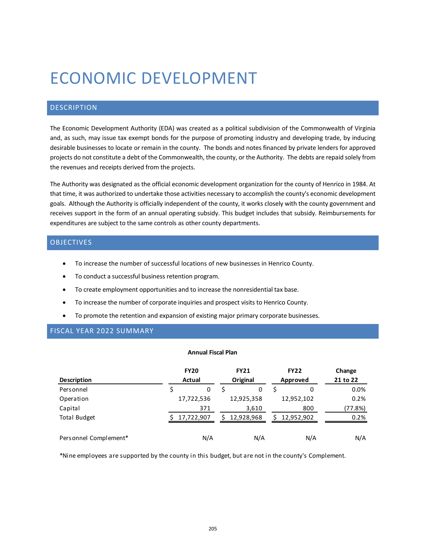# ECONOMIC DEVELOPMENT

## DESCRIPTION

The Economic Development Authority (EDA) was created as a political subdivision of the Commonwealth of Virginia and, as such, may issue tax exempt bonds for the purpose of promoting industry and developing trade, by inducing desirable businesses to locate or remain in the county. The bonds and notes financed by private lenders for approved projects do not constitute a debt of the Commonwealth, the county, or the Authority. The debts are repaid solely from the revenues and receipts derived from the projects.

The Authority was designated as the official economic development organization for the county of Henrico in 1984. At that time, it was authorized to undertake those activities necessary to accomplish the county's economic development goals. Although the Authority is officially independent of the county, it works closely with the county government and receives support in the form of an annual operating subsidy. This budget includes that subsidy. Reimbursements for expenditures are subject to the same controls as other county departments.

## OBJECTIVES

- To increase the number of successful locations of new businesses in Henrico County.
- To conduct a successful business retention program.
- To create employment opportunities and to increase the nonresidential tax base.
- To increase the number of corporate inquiries and prospect visits to Henrico County.
- To promote the retention and expansion of existing major primary corporate businesses.

## FISCAL YEAR 2022 SUMMARY

#### **Annual Fiscal Plan**

|                       | <b>FY20</b> |            |  | <b>FY21</b><br>Original |  | <b>FY22</b> | Change   |  |
|-----------------------|-------------|------------|--|-------------------------|--|-------------|----------|--|
| <b>Description</b>    |             | Actual     |  |                         |  | Approved    | 21 to 22 |  |
| Personnel             |             | 0          |  | 0                       |  | 0           | 0.0%     |  |
| Operation             |             | 17,722,536 |  | 12,925,358              |  | 12,952,102  | 0.2%     |  |
| Capital               |             | 371        |  | 3,610                   |  | 800         | (77.8%)  |  |
| <b>Total Budget</b>   |             | 17,722,907 |  | 12,928,968              |  | 12,952,902  | 0.2%     |  |
| Personnel Complement* |             | N/A        |  | N/A                     |  | N/A         | N/A      |  |

\*Nine employees are supported by the county in this budget, but are not in the county's Complement.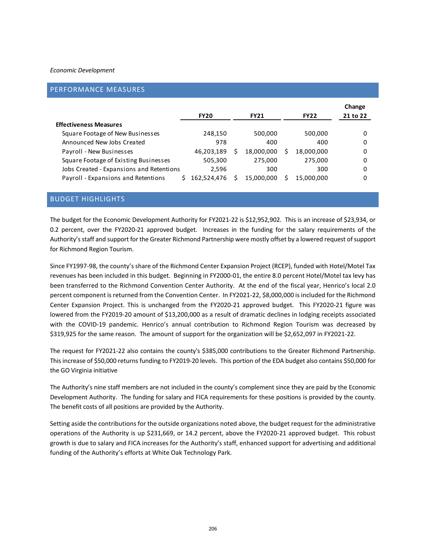#### *Economic Development*

#### PERFORMANCE MEASURES

|                                          | <b>FY20</b> | <b>FY21</b> |   | <b>FY22</b> | Change<br>21 to 22 |
|------------------------------------------|-------------|-------------|---|-------------|--------------------|
| <b>Effectiveness Measures</b>            |             |             |   |             |                    |
| Square Footage of New Businesses         | 248,150     | 500,000     |   | 500,000     | 0                  |
| Announced New Jobs Created               | 978         | 400         |   | 400         | 0                  |
| Payroll - New Businesses                 | 46,203,189  | 18,000,000  | S | 18,000,000  | 0                  |
| Square Footage of Existing Businesses    | 505,300     | 275,000     |   | 275,000     | 0                  |
| Jobs Created - Expansions and Retentions | 2.596       | 300         |   | 300         | 0                  |
| Payroll - Expansions and Retentions      | 162.524.476 | 15,000,000  |   | 15,000,000  | 0                  |

### BUDGET HIGHLIGHTS

The budget for the Economic Development Authority for FY2021-22 is \$12,952,902. This is an increase of \$23,934, or 0.2 percent, over the FY2020-21 approved budget. Increases in the funding for the salary requirements of the Authority's staff and support for the Greater Richmond Partnership were mostly offset by a lowered request of support for Richmond Region Tourism.

Since FY1997-98, the county's share of the Richmond Center Expansion Project (RCEP), funded with Hotel/Motel Tax revenues has been included in this budget. Beginning in FY2000-01, the entire 8.0 percent Hotel/Motel tax levy has been transferred to the Richmond Convention Center Authority. At the end of the fiscal year, Henrico's local 2.0 percent component is returned from the Convention Center. In FY2021-22, \$8,000,000 is included for the Richmond Center Expansion Project. This is unchanged from the FY2020-21 approved budget. This FY2020-21 figure was lowered from the FY2019-20 amount of \$13,200,000 as a result of dramatic declines in lodging receipts associated with the COVID-19 pandemic. Henrico's annual contribution to Richmond Region Tourism was decreased by \$319,925 for the same reason. The amount of support for the organization will be \$2,652,097 in FY2021-22.

The request for FY2021-22 also contains the county's \$385,000 contributions to the Greater Richmond Partnership. This increase of \$50,000 returns funding to FY2019-20 levels. This portion of the EDA budget also contains \$50,000 for the GO Virginia initiative

The Authority's nine staff members are not included in the county's complement since they are paid by the Economic Development Authority. The funding for salary and FICA requirements for these positions is provided by the county. The benefit costs of all positions are provided by the Authority.

Setting aside the contributions for the outside organizations noted above, the budget request for the administrative operations of the Authority is up \$231,669, or 14.2 percent, above the FY2020-21 approved budget. This robust growth is due to salary and FICA increases for the Authority's staff, enhanced support for advertising and additional funding of the Authority's efforts at White Oak Technology Park.